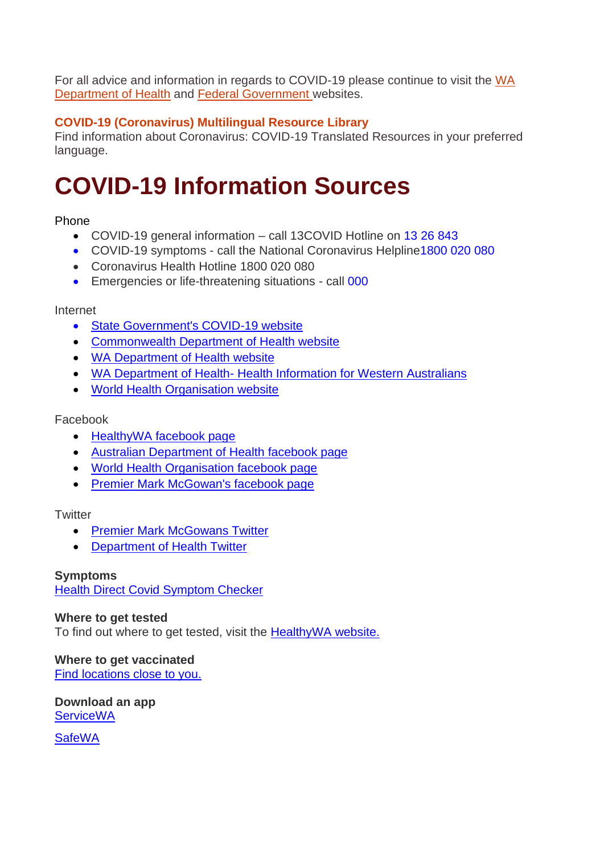For all advice and information in regards to COVID-19 please continue to visit the [WA](https://ww2.health.wa.gov.au/Articles/A_E/Coronavirus)  [Department of Health](https://ww2.health.wa.gov.au/Articles/A_E/Coronavirus) and [Federal Government](https://www.health.gov.au/) websites.

### **[COVID-19 \(Coronavirus\) Multilingual Resource Library](https://www.ethnolink.com.au/covid-19-coronavirus-translated-resources/)**

Find information about Coronavirus: COVID-19 Translated Resources in your preferred language.

## **COVID-19 Information Sources**

#### Phone

- COVID-19 general information call 13COVID Hotline on 13 26 843
- COVID-19 symptoms call the National Coronavirus Helpline1800 020 080
- Coronavirus Health Hotline 1800 020 080
- Emergencies or life-threatening situations call 000

#### Internet

- [State Government's COVID-19 website](https://www.wa.gov.au/government/covid-19-coronavirus/covid-19-coronavirus-support-business)
- [Commonwealth Department of Health website](https://www.health.gov.au/)
- [WA Department of Health website](https://ww2.health.wa.gov.au/Articles/A_E/Coronavirus)
- WA Department of Health- [Health Information for Western Australians](https://www.healthywa.wa.gov.au/coronavirus)
- [World Health Organisation website](https://www.who.int/)

#### Facebook

- [HealthyWA facebook page](https://www.facebook.com/HealthyWA)
- [Australian Department of Health facebook page](https://www.facebook.com/healthgovau)
- [World Health Organisation facebook page](https://www.facebook.com/WHO/)
- [Premier Mark McGowan's facebook page](https://www.facebook.com/MarkMcGowanMP/)

#### **Twitter**

- [Premier Mark McGowans Twitter](https://twitter.com/MarkMcGowanMP)
- [Department of Health Twitter](https://twitter.com/WAHealth)

#### **Symptoms**

[Health Direct Covid Symptom Checker](https://www.healthdirect.gov.au/symptom-checker/tool/basic-details)

#### **Where to get tested**

To find out where to get tested, visit the [HealthyWA website.](https://www.healthywa.wa.gov.au/Articles/A_E/Coronavirus/COVID19-testing)

### **Where to get vaccinated**

[Find locations close to you.](https://www.healthywa.wa.gov.au/Articles/A_E/Coronavirus/COVID19-vaccine)

**Download an app [ServiceWA](https://www.wa.gov.au/government/multi-step-guides/servicewa-app-support/how-set-the-servicewa-app)** 

**[SafeWA](https://safewa.health.wa.gov.au/)**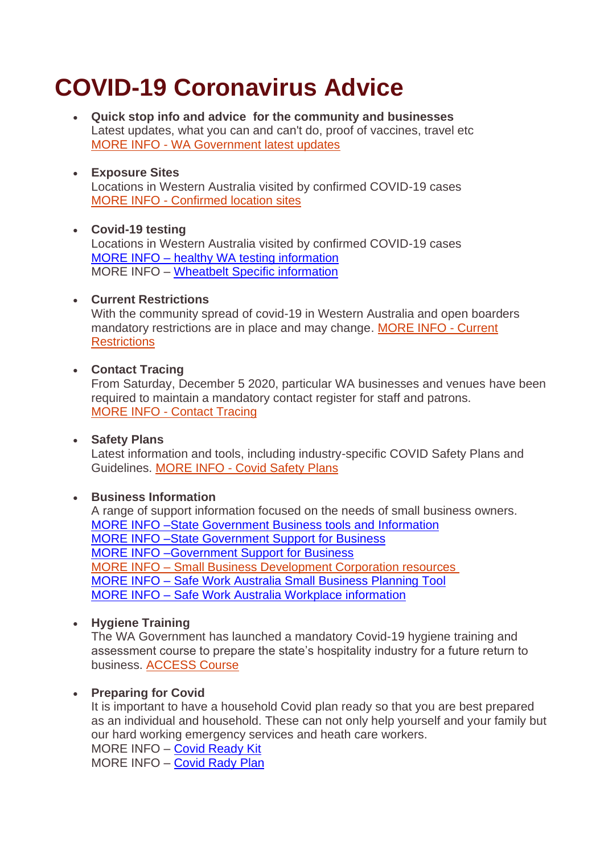## **COVID-19 Coronavirus Advice**

• **Quick stop info and advice for the community and businesses** Latest updates, what you can and can't do, proof of vaccines, travel etc MORE INFO - [WA Government latest updates](https://www.wa.gov.au/government/covid-19-coronavirus)

#### • **Exposure Sites** Locations in Western Australia visited by confirmed COVID-19 cases MORE INFO - [Confirmed location sites](https://www.wa.gov.au/government/covid-19-coronavirus/covid-19-coronavirus-locations-visited-confirmed-cases?fbclid=IwAR2BHf-6ahyaO5bvkqsbwjWT8s_f5iK1W6O5EfLYC1RV_SGkR1U3sag4fT4)

#### • **Covid-19 testing** Locations in Western Australia visited by confirmed COVID-19 cases MORE INFO – [healthy WA testing information](https://www.healthywa.wa.gov.au/Articles/A_E/Coronavirus/COVID19-testing) MORE INFO – [Wheatbelt Specific information](Where%20to%20get%20tested%20for%20COVID-19%20-Wheatbelt%20Feb%202022.pdf)

#### • **Current Restrictions**

With the community spread of covid-19 in Western Australia and open boarders mandatory restrictions are in place and may change. [MORE INFO -](https://www.wa.gov.au/organisation/department-of-the-premier-and-cabinet/covid-19-coronavirus-what-you-can-and-cant-do) Current **[Restrictions](https://www.wa.gov.au/organisation/department-of-the-premier-and-cabinet/covid-19-coronavirus-what-you-can-and-cant-do)** 

#### • **Contact Tracing**

From Saturday, December 5 2020, particular WA businesses and venues have been required to maintain a mandatory contact register for staff and patrons. MORE INFO - [Contact Tracing](https://www.wa.gov.au/government/announcements/maintaining-contact-registers-requirement-keep-wa-safe)

#### • **Safety Plans**

Latest information and tools, including industry-specific COVID Safety Plans and Guidelines. MORE INFO - [Covid Safety Plans](https://www.wa.gov.au/organisation/department-of-the-premier-and-cabinet/covid-19-coronavirus-business-and-industry-advice)

#### • **Business Information**

A range of support information focused on the needs of small business owners. [MORE INFO –State Government Business tools and Information](https://www.wa.gov.au/government/covid-19-coronavirus/covid-19-coronavirus-business-tools-and-information) [MORE INFO –State Government Support for Business](https://www.wa.gov.au/government/covid-19-coronavirus/covid-19-coronavirus-support-business) [MORE INFO –Government Support for Business](https://business.gov.au/risk-management/emergency-management/coronavirus-information-and-support-for-business) MORE INFO – [Small Business Development Corporation resources](https://www.smallbusiness.wa.gov.au/coronavirus) MORE INFO – [Safe Work Australia Small Business Planning Tool](https://covid19.swa.gov.au/doc/small-business-planning-tool-covid-19) MORE INFO – [Safe Work Australia Workplace information](https://covid19.swa.gov.au/covid-19-information-workplaces)

#### • **Hygiene Training**

The WA Government has launched a mandatory Covid-19 hygiene training and assessment course to prepare the state's hospitality industry for a future return to business. [ACCESS](https://hospitalityhygiene.com/aha-covid-19-hospitality-tourism-hygiene-course/) Course

#### • **Preparing for Covid**

It is important to have a household Covid plan ready so that you are best prepared as an individual and household. These can not only help yourself and your family but our hard working emergency services and heath care workers.

MORE INFO – [Covid Ready Kit](Get-COVID-Ready-Kit.pdf) MORE INFO - [Covid Rady Plan](Covid-Ready%20Plan%20for%20Households.pdf)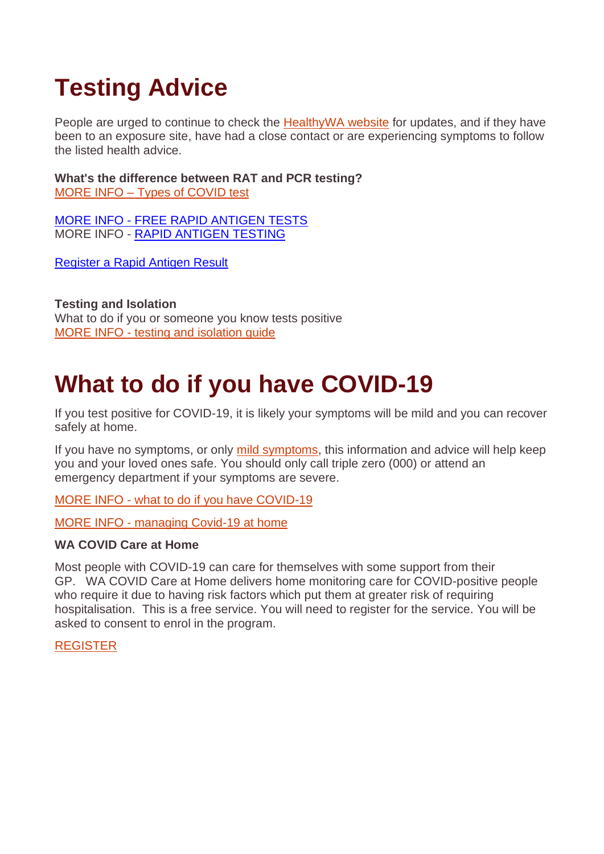# **Testing Advice**

People are urged to continue to check the [HealthyWA website](https://www.healthywa.wa.gov.au/Articles/A_E/Coronavirus/COVID19-testing) for updates, and if they have been to an exposure site, have had a close contact or are experiencing symptoms to follow the listed health advice.

**What's the difference between RAT and PCR testing?** [MORE INFO –](https://www.covid19.act.gov.au/stay-safe-and-healthy/symptoms-and-getting-tested/when-to-get-tested) Types of COVID test

MORE INFO - [FREE RAPID ANTIGEN TESTS](https://www.wa.gov.au/government/covid-19-coronavirus/covid-19-coronavirus-wa-free-rat-program) MORE INFO - [RAPID ANTIGEN](file:///C:/Users/M.Morrell/AppData/Local/Microsoft/Windows/INetCache/Content.Outlook/3VC1J3DG/RAPID%20ANTIGEN%20TESTING%20information) TESTING

[Register a Rapid Antigen Result](https://datalibrary-rc.health.wa.gov.au/surveys/?s=WDLLNTW4RDX8AWPH)

**Testing and Isolation** What to do if you or someone you know tests positive MORE INFO - [testing and isolation guide](https://www.york.wa.gov.au/Profiles/york/Assets/ClientData/COVID-19_testing_and_isolation_guide.pdf)

## **What to do if you have COVID-19**

If you test positive for COVID-19, it is likely your symptoms will be mild and you can recover safely at home.

If you have no symptoms, or only [mild symptoms,](https://www.healthdirect.gov.au/managing-covid-19/monitoring-covid-19-symptoms#symptoms) this information and advice will help keep you and your loved ones safe. You should only call triple zero (000) or attend an emergency department if your symptoms are severe.

MORE INFO - [what to do if you have COVID-19](https://www.healthdirect.gov.au/managing-covid-19/what-to-do?gclid=CjwKCAiAo4OQBhBBEiwA5KWu_xMsZlz72E4oiQmgibmSnEfEOs-myKtxu-7p9cYAVT_jvGg_AYr_iBoCFXMQAvD_BwE)

MORE INFO - [managing Covid-19 at home](https://www.healthdirect.gov.au/managing-covid-19)

#### **WA COVID Care at Home**

Most people with COVID-19 can care for themselves with some support from their GP. WA COVID Care at Home delivers home monitoring care for COVID-positive people who require it due to having risk factors which put them at greater risk of requiring hospitalisation. This is a free service. You will need to register for the service. You will be asked to consent to enrol in the program.

#### [REGISTER](https://datalibrary-rc.health.wa.gov.au/surveys/index.php?s=WDLLNTW4RDX8AWPH)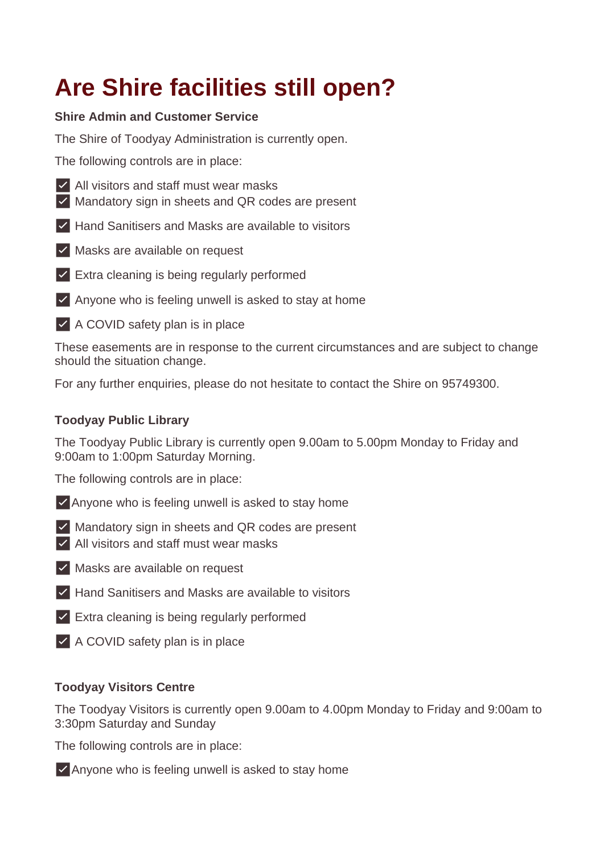# **Are Shire facilities still open?**

### **Shire Admin and Customer Service**

The Shire of Toodyay Administration is currently open.

The following controls are in place:

- ✅ All visitors and staff must wear masks
- ✅ Mandatory sign in sheets and QR codes are present
- ✅ Hand Sanitisers and Masks are available to visitors
- ✅ Masks are available on request
- ✅ Extra cleaning is being regularly performed
- $\vee$  Anyone who is feeling unwell is asked to stay at home
- ✅ A COVID safety plan is in place

These easements are in response to the current circumstances and are subject to change should the situation change.

For any further enquiries, please do not hesitate to contact the Shire on 95749300.

### **Toodyay Public Library**

The Toodyay Public Library is currently open 9.00am to 5.00pm Monday to Friday and 9:00am to 1:00pm Saturday Morning.

The following controls are in place:

- ✅Anyone who is feeling unwell is asked to stay home
- ✅ Mandatory sign in sheets and QR codes are present ✅ All visitors and staff must wear masks
- ✅ Masks are available on request
- ✅ Hand Sanitisers and Masks are available to visitors
- ✅ Extra cleaning is being regularly performed
- ✅ A COVID safety plan is in place

#### **Toodyay Visitors Centre**

The Toodyay Visitors is currently open 9.00am to 4.00pm Monday to Friday and 9:00am to 3:30pm Saturday and Sunday

The following controls are in place:

✅Anyone who is feeling unwell is asked to stay home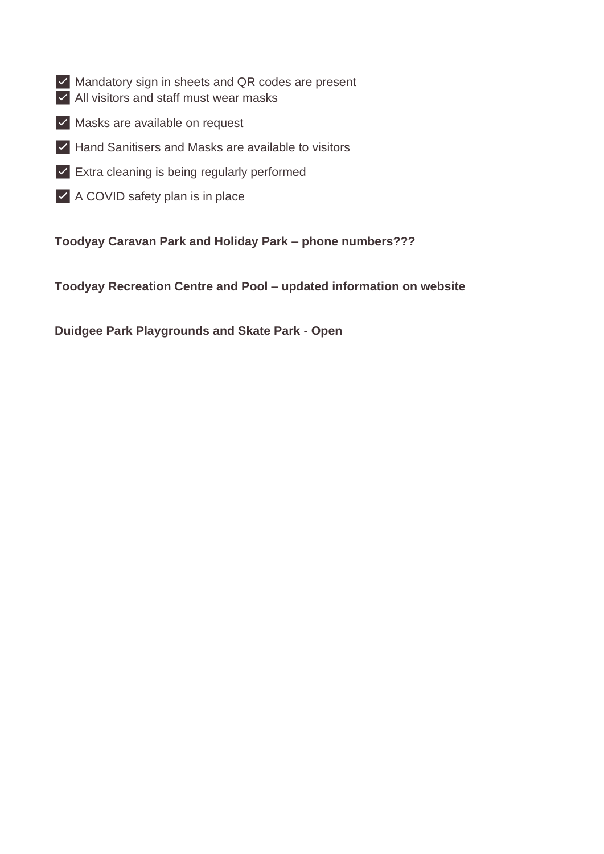- ✅ Mandatory sign in sheets and QR codes are present
- ✅ All visitors and staff must wear masks
- ✅ Masks are available on request
- ✅ Hand Sanitisers and Masks are available to visitors
- ✅ Extra cleaning is being regularly performed
- ✅ A COVID safety plan is in place

**Toodyay Caravan Park and Holiday Park – phone numbers???**

**Toodyay Recreation Centre and Pool – updated information on website**

**Duidgee Park Playgrounds and Skate Park - Open**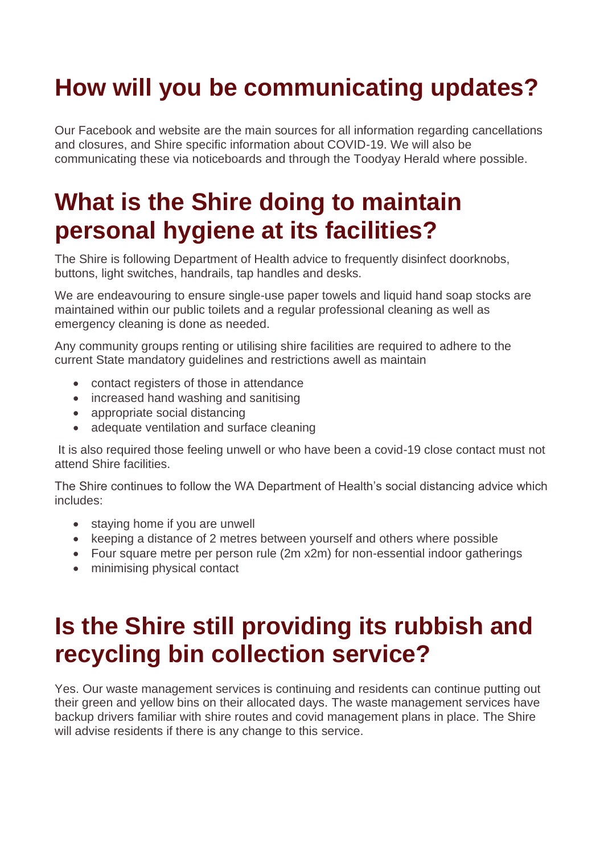## **How will you be communicating updates?**

Our Facebook and website are the main sources for all information regarding cancellations and closures, and Shire specific information about COVID-19. We will also be communicating these via noticeboards and through the Toodyay Herald where possible.

## **What is the Shire doing to maintain personal hygiene at its facilities?**

The Shire is following Department of Health advice to frequently disinfect doorknobs, buttons, light switches, handrails, tap handles and desks.

We are endeavouring to ensure single-use paper towels and liquid hand soap stocks are maintained within our public toilets and a regular professional cleaning as well as emergency cleaning is done as needed.

Any community groups renting or utilising shire facilities are required to adhere to the current State mandatory guidelines and restrictions awell as maintain

- contact registers of those in attendance
- increased hand washing and sanitising
- appropriate social distancing
- adequate ventilation and surface cleaning

It is also required those feeling unwell or who have been a covid-19 close contact must not attend Shire facilities.

The Shire continues to follow the WA Department of Health's social distancing advice which includes:

- staying home if you are unwell
- keeping a distance of 2 metres between yourself and others where possible
- Four square metre per person rule (2m x2m) for non-essential indoor gatherings
- minimising physical contact

## **Is the Shire still providing its rubbish and recycling bin collection service?**

Yes. Our waste management services is continuing and residents can continue putting out their green and yellow bins on their allocated days. The waste management services have backup drivers familiar with shire routes and covid management plans in place. The Shire will advise residents if there is any change to this service.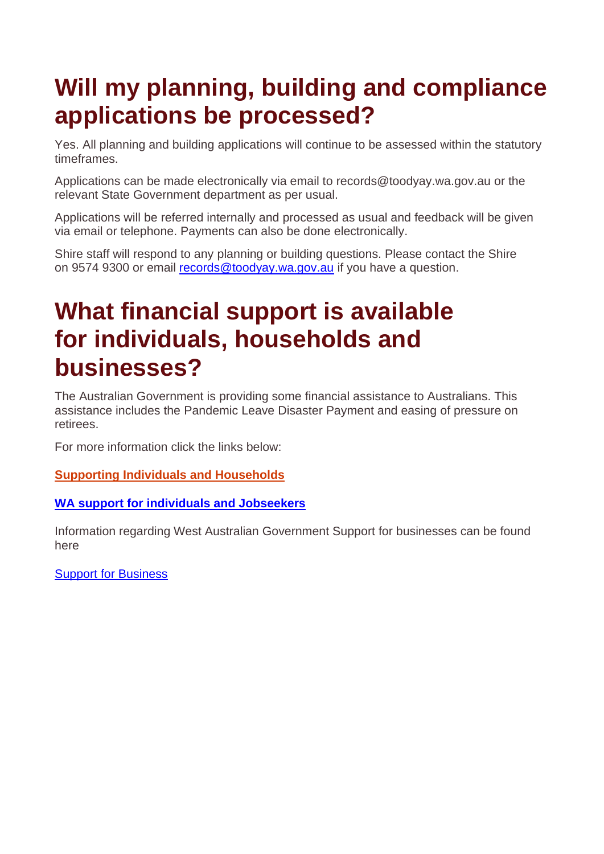## **Will my planning, building and compliance applications be processed?**

Yes. All planning and building applications will continue to be assessed within the statutory timeframes.

Applications can be made electronically via email to records@toodyay.wa.gov.au or the relevant State Government department as per usual.

Applications will be referred internally and processed as usual and feedback will be given via email or telephone. Payments can also be done electronically.

Shire staff will respond to any planning or building questions. Please contact the Shire on 9574 9300 or email [records@toodyay.wa.gov.au](mailto:records@toodyay.wa.gov.au) if you have a question.

### **What financial support is available for individuals, households and businesses?**

The Australian Government is providing some financial assistance to Australians. This assistance includes the Pandemic Leave Disaster Payment and easing of pressure on retirees.

For more information click the links below:

#### **[Supporting Individuals and Households](https://treasury.gov.au/coronavirus/households)**

#### **[WA support for individuals and Jobseekers](https://www.jobsandskills.wa.gov.au/jobs-and-skills-centre/covid-19-support-individuals-and-jobseekers)**

Information regarding West Australian Government Support for businesses can be found here

[Support for Business](https://www.wa.gov.au/government/covid-19-coronavirus/covid-19-coronavirus-support-business)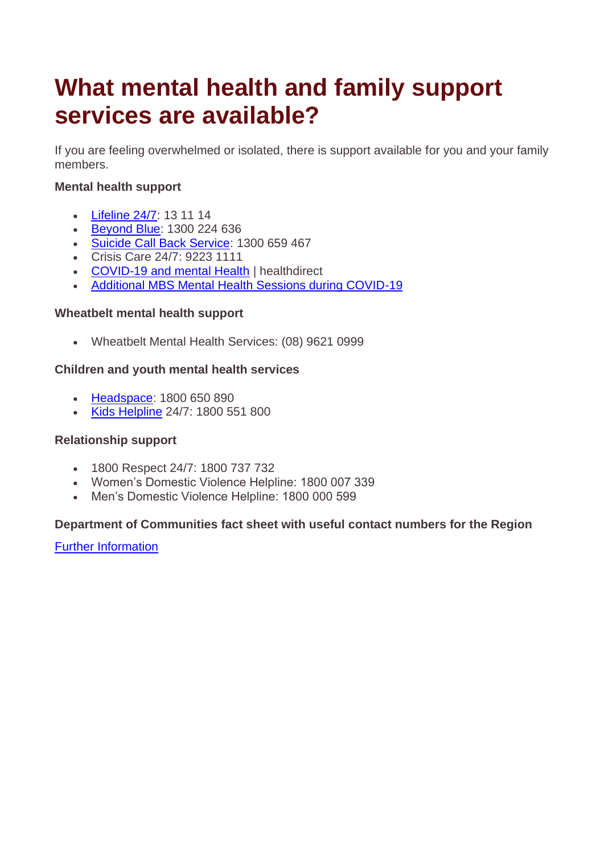## **What mental health and family support services are available?**

If you are feeling overwhelmed or isolated, there is support available for you and your family members.

### **Mental health support**

- [Lifeline 24/7:](https://www.health.gov.au/contacts/lifeline) 13 11 14
- [Beyond Blue:](https://www.health.gov.au/contacts/beyond-blue-coronavirus-mental-wellbeing-support-service) 1300 224 636
- [Suicide Call Back Service:](https://www.health.gov.au/contacts/suicide-call-back-service) 1300 659 467
- Crisis Care 24/7: 9223 1111
- [COVID-19 and mental Health](https://www.healthdirect.gov.au/covid-19/mental-health-and-wellbeing) | healthdirect
- [Additional MBS Mental Health Sessions during COVID-19](https://www.health.gov.au/resources/publications/additional-10-mbs-mental-health-sessions-during-covid-19-faqs-for-consumers)

#### **Wheatbelt mental health support**

• Wheatbelt Mental Health Services: (08) 9621 0999

#### **Children and youth mental health services**

- [Headspace:](https://headspace.org.au/covid-19/) 1800 650 890
- [Kids Helpline](https://kidshelpline.com.au/) 24/7: 1800 551 800

#### **Relationship support**

- 1800 Respect 24/7: 1800 737 732
- Women's Domestic Violence Helpline: 1800 007 339
- Men's Domestic Violence Helpline: 1800 000 599

#### **Department of Communities fact sheet with useful contact numbers for the Region**

**[Further Information](Information_of_Department_of_Communities.pdf)**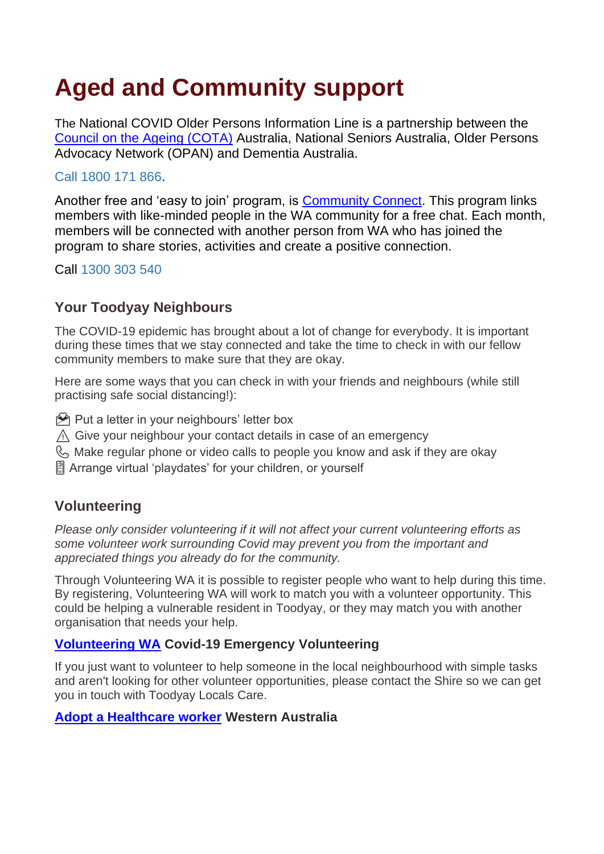# **Aged and Community support**

The National COVID Older Persons Information Line is a partnership between the [Council on the Ageing \(COTA\)](https://www.cotawa.org.au/seniors-resources/information-and-resources/) Australia, National Seniors Australia, Older Persons Advocacy Network (OPAN) and Dementia Australia.

### Call 1800 171 866.

Another free and 'easy to join' program, is **Community Connect**. This program links members with like-minded people in the WA community for a free chat. Each month, members will be connected with another person from WA who has joined the program to share stories, activities and create a positive connection.

Call 1300 303 540

### **Your Toodyay Neighbours**

The COVID-19 epidemic has brought about a lot of change for everybody. It is important during these times that we stay connected and take the time to check in with our fellow community members to make sure that they are okay.

Here are some ways that you can check in with your friends and neighbours (while still practising safe social distancing!):

- $\Theta$  Put a letter in your neighbours' letter box
- $\triangle$  Give your neighbour your contact details in case of an emergency
- $\mathbb{Q}_2$  Make regular phone or video calls to people you know and ask if they are okay
- Arrange virtual 'playdates' for your children, or yourself

### **Volunteering**

*Please only consider volunteering if it will not affect your current volunteering efforts as some volunteer work surrounding Covid may prevent you from the important and appreciated things you already do for the community.* 

Through Volunteering WA it is possible to register people who want to help during this time. By registering, Volunteering WA will work to match you with a volunteer opportunity. This could be helping a vulnerable resident in Toodyay, or they may match you with another organisation that needs your help.

### **[Volunteering WA](https://emergency.volunteer.org.au/campaign/1/covid-19#register) Covid-19 Emergency Volunteering**

If you just want to volunteer to help someone in the local neighbourhood with simple tasks and aren't looking for other volunteer opportunities, please contact the Shire so we can get you in touch with Toodyay Locals Care.

#### **[Adopt a Healthcare worker](https://www.facebook.com/groups/666739964088379/) Western Australia**